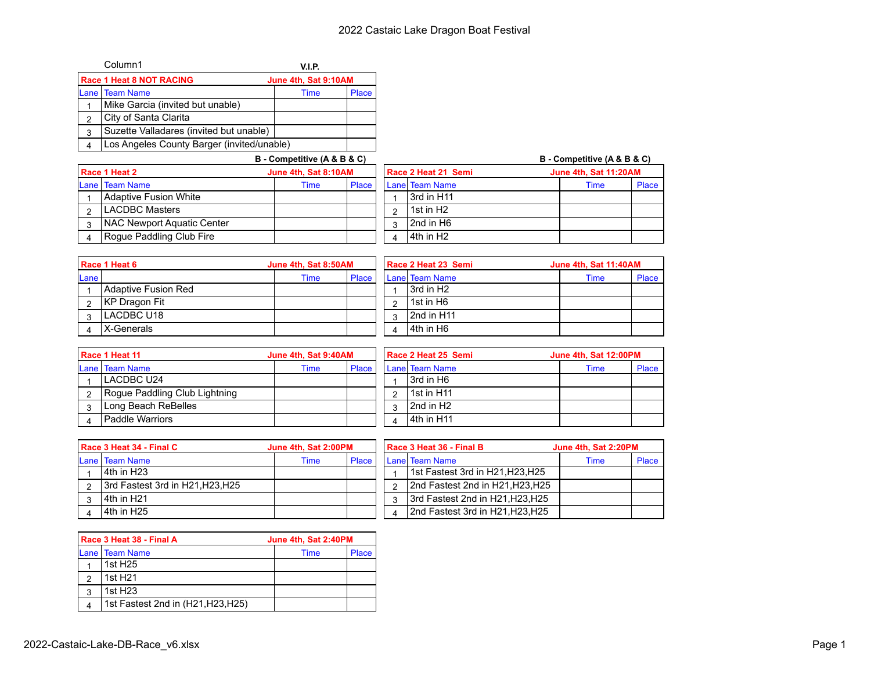|   | Column1                                    | V.I.P.               |              |  |  |  |  |
|---|--------------------------------------------|----------------------|--------------|--|--|--|--|
|   | <b>Race 1 Heat 8 NOT RACING</b>            | June 4th, Sat 9:10AM |              |  |  |  |  |
|   | <b>ILane I Team Name</b>                   | Time                 | <b>Place</b> |  |  |  |  |
|   | Mike Garcia (invited but unable)           |                      |              |  |  |  |  |
| 2 | City of Santa Clarita                      |                      |              |  |  |  |  |
| 3 | Suzette Valladares (invited but unable)    |                      |              |  |  |  |  |
|   | Los Angeles County Barger (invited/unable) |                      |              |  |  |  |  |

|                                       |                            | B - Competitive (A & B & C) |                       |                       | B - Competitive (A & B & C) |      |       |  |
|---------------------------------------|----------------------------|-----------------------------|-----------------------|-----------------------|-----------------------------|------|-------|--|
| June 4th, Sat 8:10AM<br>Race 1 Heat 2 |                            | Race 2 Heat 21 Semi         | June 4th, Sat 11:20AM |                       |                             |      |       |  |
|                                       | Lane   Team Name           | Time                        | <b>Place</b>          | Lanel Team Name       |                             | Time | Place |  |
|                                       | Adaptive Fusion White      |                             |                       | l 3rd in H11          |                             |      |       |  |
|                                       | <b>LACDBC Masters</b>      |                             |                       | 1st in H <sub>2</sub> |                             |      |       |  |
|                                       | NAC Newport Aquatic Center |                             |                       | l 2nd in H6           |                             |      |       |  |
|                                       | Roque Paddling Club Fire   |                             |                       | l 4th in H2           |                             |      |       |  |

| Race 1 Heat 6<br>June 4th, Sat 8:50AM |                     | Race 2 Heat 23 Semi |       |  | June 4th, Sat 11:40AM |                       |      |       |
|---------------------------------------|---------------------|---------------------|-------|--|-----------------------|-----------------------|------|-------|
| Lane                                  |                     | Time                | Place |  |                       | <b>Lane Team Name</b> | Time | Place |
|                                       | Adaptive Fusion Red |                     |       |  |                       | 3rd in H <sub>2</sub> |      |       |
|                                       | KP Dragon Fit       |                     |       |  |                       | 1st in H6             |      |       |
|                                       | I LACDBC U18        |                     |       |  |                       | 2nd in H11            |      |       |
|                                       | X-Generals          |                     |       |  |                       | 14th in H6            |      |       |

| Race 1 Heat 11<br>June 4th, Sat 9:40AM |                               |      | Race 2 Heat 25 Semi |  |  | June 4th, Sat 12:00PM |  |             |       |
|----------------------------------------|-------------------------------|------|---------------------|--|--|-----------------------|--|-------------|-------|
|                                        | Lane   Team Name              | Time | <b>Place</b>        |  |  | Lanel Team Name       |  | <b>Time</b> | Place |
|                                        | LACDBC U24                    |      |                     |  |  | 3rd in H6             |  |             |       |
|                                        | Rogue Paddling Club Lightning |      |                     |  |  | 1st in H11            |  |             |       |
|                                        | Long Beach ReBelles           |      |                     |  |  | 2nd in H2             |  |             |       |
|                                        | Paddle Warriors               |      |                     |  |  | 4th in H11            |  |             |       |

| <b>Race 3 Heat 34 - Final C</b> |                                  | June 4th, Sat 2:00PM |       |  | Race 3 Heat 36 - Final B         | June 4th, Sat 2:20PM |       |  |
|---------------------------------|----------------------------------|----------------------|-------|--|----------------------------------|----------------------|-------|--|
|                                 | Lane   Team Name                 | Time                 | Place |  | Lanel Team Name                  | Time                 | Place |  |
|                                 | l 4th in H23                     |                      |       |  | 1st Fastest 3rd in H21, H23, H25 |                      |       |  |
|                                 | 3rd Fastest 3rd in H21, H23, H25 |                      |       |  | 2nd Fastest 2nd in H21, H23, H25 |                      |       |  |
|                                 | l 4th in H21                     |                      |       |  | 3rd Fastest 2nd in H21, H23, H25 |                      |       |  |
|                                 | l 4th in H25                     |                      |       |  | 2nd Fastest 3rd in H21, H23, H25 |                      |       |  |

|   | Race 3 Heat 38 - Final A           | June 4th, Sat 2:40PM |              |  |  |
|---|------------------------------------|----------------------|--------------|--|--|
|   | Lane   Team Name                   | Time                 | <b>Place</b> |  |  |
|   | 1st H25                            |                      |              |  |  |
| っ | 1st H <sub>21</sub>                |                      |              |  |  |
| 3 | 1st H <sub>23</sub>                |                      |              |  |  |
|   | 1st Fastest 2nd in (H21, H23, H25) |                      |              |  |  |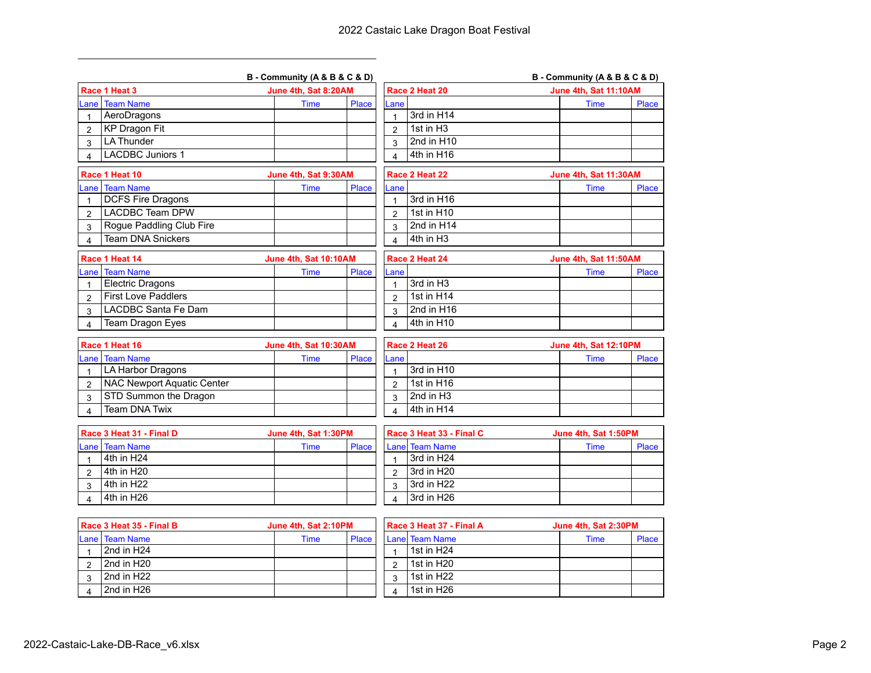|                |                                   | B - Community (A & B & C & D) |       |                         |                          | B - Community (A & B & C & D) |       |
|----------------|-----------------------------------|-------------------------------|-------|-------------------------|--------------------------|-------------------------------|-------|
|                | Race 1 Heat 3                     | June 4th, Sat 8:20AM          |       |                         | Race 2 Heat 20           | June 4th, Sat 11:10AM         |       |
|                | ane Team Name                     | <b>Time</b>                   | Place | Lane                    |                          | <b>Time</b>                   | Place |
|                | AeroDragons                       |                               |       | $\mathbf{1}$            | 3rd in H14               |                               |       |
| $\overline{2}$ | <b>KP Dragon Fit</b>              |                               |       | $\overline{2}$          | 1st in H <sub>3</sub>    |                               |       |
| 3              | <b>LA Thunder</b>                 |                               |       | 3                       | 2nd in H10               |                               |       |
| 4              | <b>LACDBC Juniors 1</b>           |                               |       | $\overline{\mathbf{4}}$ | 4th in H16               |                               |       |
|                | Race 1 Heat 10                    | June 4th, Sat 9:30AM          |       |                         | Race 2 Heat 22           | June 4th, Sat 11:30AM         |       |
|                | ane Team Name                     | <b>Time</b>                   | Place | Lane                    |                          | <b>Time</b>                   | Place |
| 1              | <b>DCFS Fire Dragons</b>          |                               |       | 1                       | 3rd in H16               |                               |       |
| $\overline{2}$ | <b>LACDBC Team DPW</b>            |                               |       | $\overline{2}$          | 1st in H10               |                               |       |
| 3              | Rogue Paddling Club Fire          |                               |       | 3                       | 2nd in $H14$             |                               |       |
| 4              | <b>Team DNA Snickers</b>          |                               |       | $\overline{\mathbf{A}}$ | 4th in H <sub>3</sub>    |                               |       |
|                | Race 1 Heat 14                    | June 4th, Sat 10:10AM         |       |                         | Race 2 Heat 24           | June 4th, Sat 11:50AM         |       |
|                | ane Team Name                     | <b>Time</b>                   | Place | Lane                    |                          | <b>Time</b>                   | Place |
| 1              | <b>Electric Dragons</b>           |                               |       | $\overline{1}$          | 3rd in H <sub>3</sub>    |                               |       |
| $\overline{2}$ | <b>First Love Paddlers</b>        |                               |       | $\overline{2}$          | 1st in H14               |                               |       |
| 3              | LACDBC Santa Fe Dam               |                               |       | 3                       | 2nd in H16               |                               |       |
| 4              | Team Dragon Eyes                  |                               |       | 4                       | 4th in H10               |                               |       |
|                |                                   |                               |       |                         |                          |                               |       |
|                | Race 1 Heat 16                    | June 4th, Sat 10:30AM         |       |                         | Race 2 Heat 26           | June 4th, Sat 12:10PM         |       |
|                | ane Team Name                     | <b>Time</b>                   | Place | Lane                    |                          | <b>Time</b>                   | Place |
| $\mathbf{1}$   | LA Harbor Dragons                 |                               |       | 1                       | 3rd in H10               |                               |       |
| $\overline{2}$ | <b>NAC Newport Aquatic Center</b> |                               |       | $\mathfrak{p}$          | 1st in H16               |                               |       |
| 3              | STD Summon the Dragon             |                               |       | 3                       | 2nd in H <sub>3</sub>    |                               |       |
| $\overline{4}$ | <b>Team DNA Twix</b>              |                               |       | $\overline{\mathbf{A}}$ | 4th in H14               |                               |       |
|                | Race 3 Heat 31 - Final D          | June 4th, Sat 1:30PM          |       |                         | Race 3 Heat 33 - Final C | June 4th, Sat 1:50PM          |       |
|                | ane Team Name                     | Time                          | Place |                         | Lane Team Name           | <b>Time</b>                   | Place |
| 1              | 4th in H24                        |                               |       | $\mathbf{1}$            | 3rd in H24               |                               |       |
| 2              | 4th in H20                        |                               |       | $\overline{2}$          | 3rd in H20               |                               |       |
| 3              | 4th in H22                        |                               |       | 3                       | 3rd in H22               |                               |       |
| 4              | 4th in H26                        |                               |       | 4                       | 3rd in H26               |                               |       |

| l Race 3 Heat 35 - Final B<br>June 4th, Sat 2:10PM |                          | Race 3 Heat 37 - Final A |       | June 4th, Sat 2:30PM |   |                 |  |      |       |
|----------------------------------------------------|--------------------------|--------------------------|-------|----------------------|---|-----------------|--|------|-------|
|                                                    | <b>ILane I Team Name</b> | Time                     | Place |                      |   | Lanel Team Name |  | Time | Place |
|                                                    | 2nd in H24               |                          |       |                      |   | 1st in H24      |  |      |       |
|                                                    | 2nd in H20               |                          |       |                      |   | 1st in H20      |  |      |       |
|                                                    | 2nd in H22               |                          |       |                      | ູ | 1st in H22      |  |      |       |
|                                                    | 2nd in H26               |                          |       |                      |   | 1st in H26      |  |      |       |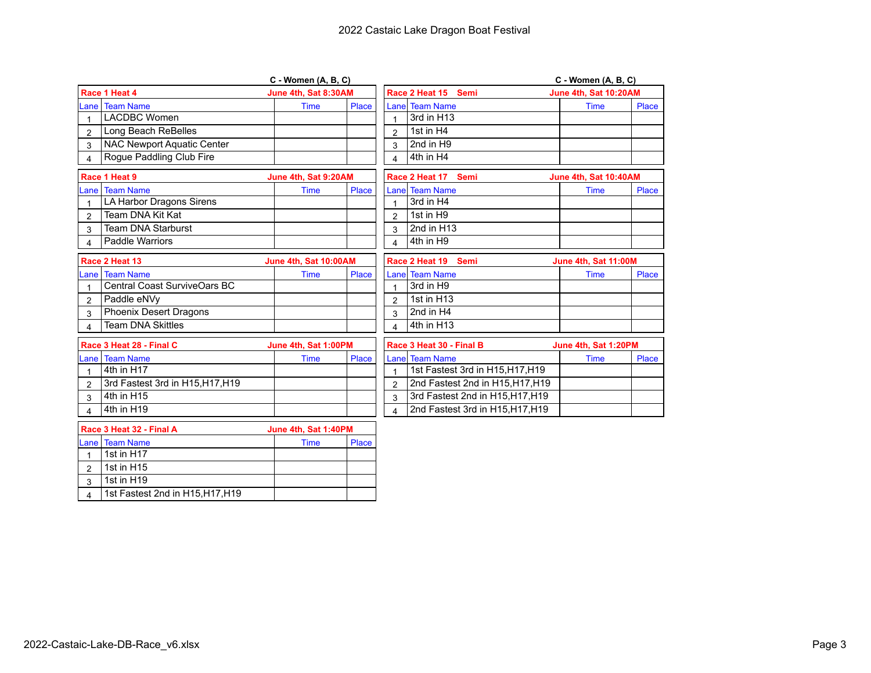|                         |                                  | $C$ - Women $(A, B, C)$ |       |                         |                                  | C - Women (A, B, C)   |       |
|-------------------------|----------------------------------|-------------------------|-------|-------------------------|----------------------------------|-----------------------|-------|
|                         | Race 1 Heat 4                    | June 4th, Sat 8:30AM    |       |                         | Race 2 Heat 15<br>Semi           | June 4th, Sat 10:20AM |       |
|                         | ane I Team Name                  | <b>Time</b>             | Place |                         | <b>Lanel Team Name</b>           | <b>Time</b>           | Place |
|                         | <b>LACDBC Women</b>              |                         |       |                         | 3rd in H13                       |                       |       |
| $\overline{2}$          | Long Beach ReBelles              |                         |       | $\overline{2}$          | 1st in H4                        |                       |       |
| 3                       | NAC Newport Aquatic Center       |                         |       | 3                       | 2nd in H9                        |                       |       |
| 4                       | Rogue Paddling Club Fire         |                         |       | $\overline{\mathbf{A}}$ | 4th in H4                        |                       |       |
|                         | Race 1 Heat 9                    | June 4th, Sat 9:20AM    |       |                         | Race 2 Heat 17<br>Semi           | June 4th, Sat 10:40AM |       |
|                         | ane l Team Name.                 | <b>Time</b>             | Place |                         | <b>Lanel Team Name</b>           | <b>Time</b>           | Place |
|                         | LA Harbor Dragons Sirens         |                         |       |                         | 3rd in H4                        |                       |       |
| $\overline{2}$          | Team DNA Kit Kat                 |                         |       | $\overline{2}$          | 1st in H9                        |                       |       |
| 3                       | <b>Team DNA Starburst</b>        |                         |       | 3                       | 2nd in H13                       |                       |       |
| $\overline{\mathbf{4}}$ | <b>Paddle Warriors</b>           |                         |       | $\overline{\mathbf{A}}$ | 4th in H9                        |                       |       |
|                         | Race 2 Heat 13                   | June 4th, Sat 10:00AM   |       |                         | Race 2 Heat 19<br><b>Semi</b>    | June 4th, Sat 11:00M  |       |
|                         | ane   Team Name                  | <b>Time</b>             | Place |                         | <b>Lanel Team Name</b>           | <b>Time</b>           | Place |
|                         | Central Coast SurviveOars BC     |                         |       | 1                       | 3rd in H9                        |                       |       |
| $\overline{2}$          | Paddle eNVy                      |                         |       | $\overline{2}$          | 1st in H13                       |                       |       |
| 3                       | Phoenix Desert Dragons           |                         |       | 3                       | 2nd in H4                        |                       |       |
| 4                       | <b>Team DNA Skittles</b>         |                         |       | $\overline{\mathbf{A}}$ | 4th in H13                       |                       |       |
|                         | Race 3 Heat 28 - Final C         | June 4th, Sat 1:00PM    |       |                         | Race 3 Heat 30 - Final B         | June 4th, Sat 1:20PM  |       |
|                         | ane Team Name                    | Time                    | Place |                         | Lane Team Name                   | Time                  | Place |
|                         | 4th in H17                       |                         |       | $\mathbf{1}$            | 1st Fastest 3rd in H15, H17, H19 |                       |       |
| $\overline{2}$          | 3rd Fastest 3rd in H15, H17, H19 |                         |       | $\overline{2}$          | 2nd Fastest 2nd in H15, H17, H19 |                       |       |
| 3                       | 4th in H15                       |                         |       | 3                       | 3rd Fastest 2nd in H15, H17, H19 |                       |       |
| 4                       | 4th in H19                       |                         |       | $\overline{4}$          | 2nd Fastest 3rd in H15, H17, H19 |                       |       |
|                         | Race 3 Heat 32 - Final A         | June 4th, Sat 1:40PM    |       |                         |                                  |                       |       |
|                         | Lane   Team Name                 | Time                    | Place |                         |                                  |                       |       |

|   |                                  | $0.4110 + 1.111$ , $0.411 + 1.701$ |       |  |  |
|---|----------------------------------|------------------------------------|-------|--|--|
|   | <b>ILane I Team Name</b>         | Time                               | Place |  |  |
|   | 1st in H17                       |                                    |       |  |  |
|   | 1st in H15                       |                                    |       |  |  |
| ົ | 1st in $H19$                     |                                    |       |  |  |
|   | 1st Fastest 2nd in H15, H17, H19 |                                    |       |  |  |